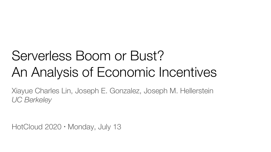# Serverless Boom or Bust? An Analysis of Economic Incentives

Xiayue Charles Lin, Joseph E. Gonzalez, Joseph M. Hellerstein *UC Berkeley*

HotCloud 2020 • Monday, July 13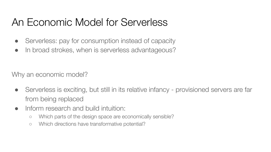## An Economic Model for Serverless

- Serverless: pay for consumption instead of capacity
- In broad strokes, when is serverless advantageous?

Why an economic model?

- Serverless is exciting, but still in its relative infancy provisioned servers are far from being replaced
- Inform research and build intuition:
	- Which parts of the design space are economically sensible?
	- Which directions have transformative potential?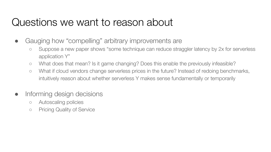#### Questions we want to reason about

- Gauging how "compelling" arbitrary improvements are
	- Suppose a new paper shows "some technique can reduce straggler latency by 2x for serverless application Y"
	- What does that mean? Is it game changing? Does this enable the previously infeasible?
	- What if cloud vendors change serverless prices in the future? Instead of redoing benchmarks, intuitively reason about whether serverless Y makes sense fundamentally or temporarily
- Informing design decisions
	- Autoscaling policies
	- Pricing Quality of Service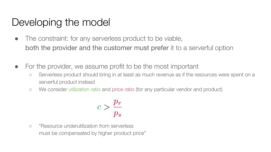- The constraint: for any serverless product to be viable, both the provider and the customer must prefer it to a serverful option
- For the provider, we assume profit to be the most important
	- Serverless product should bring in at least as much revenue as if the resources were spent on a serverful product instead
	- We consider utilization ratio and price ratio (for any particular vendor and product)

$$
c > \frac{p_r}{p_s}
$$

○ "Resource underutilization from serverless must be compensated by higher product price"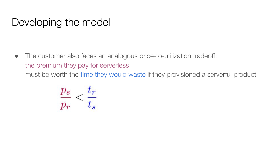• The customer also faces an analogous price-to-utilization tradeoff: the premium they pay for serverless must be worth the time they would waste if they provisioned a serverful product

$$
\frac{p_s}{p_r} < \frac{t_r}{t_s}
$$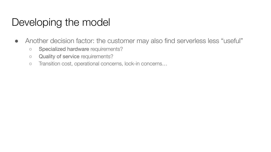- Another decision factor: the customer may also find serverless less "useful"
	- Specialized hardware requirements?
	- Quality of service requirements?
	- Transition cost, operational concerns, lock-in concerns…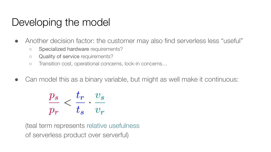- Another decision factor: the customer may also find serverless less "useful"
	- Specialized hardware requirements?
	- Quality of service requirements?
	- Transition cost, operational concerns, lock-in concerns…
- Can model this as a binary variable, but might as well make it continuous:

$$
\frac{p_s}{p_r} < \frac{t_r}{t_s} \cdot \frac{v_s}{v_r}
$$

(teal term represents relative usefulness of serverless product over serverful)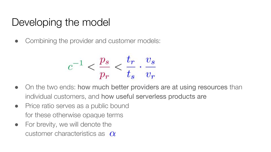• Combining the provider and customer models:

$$
c^{-1}<\frac{p_s}{p_r}<\frac{t_r}{t_s}\cdot\frac{v_s}{v_r}
$$

- On the two ends: how much better providers are at using resources than individual customers, and how useful serverless products are
- Price ratio serves as a public bound for these otherwise opaque terms
- For brevity, we will denote the customer characteristics as  $\alpha$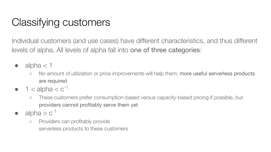## Classifying customers

Individual customers (and use cases) have different characteristics, and thus different levels of alpha. All levels of alpha fall into one of three categories:

- $\bullet$  alpha  $<$  1
	- No amount of utilization or price improvements will help them; more useful serverless products are required
- $\bullet$  1 < alpha <  $c^{-1}$ 
	- These customers prefer consumption-based versus capacity-based pricing if possible, but providers cannot profitably serve them yet
- alpha  $> c^{-1}$ 
	- Providers can profitably provide serverless products to these customers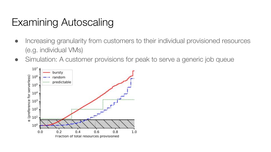## Examining Autoscaling

- Increasing granularity from customers to their individual provisioned resources (e.g. individual VMs)
- Simulation: A customer provisions for peak to serve a generic job queue

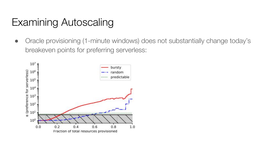## Examining Autoscaling

● Oracle provisioning (1-minute windows) does not substantially change today's breakeven points for preferring serverless:

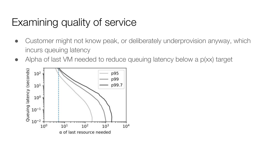## Examining quality of service

- Customer might not know peak, or deliberately underprovision anyway, which incurs queuing latency
- Alpha of last VM needed to reduce queuing latency below a p(xx) target

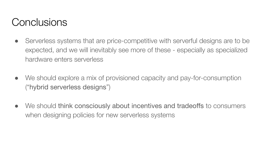#### **Conclusions**

- Serverless systems that are price-competitive with serverful designs are to be expected, and we will inevitably see more of these - especially as specialized hardware enters serverless
- We should explore a mix of provisioned capacity and pay-for-consumption ("hybrid serverless designs")
- We should think consciously about incentives and tradeoffs to consumers when designing policies for new serverless systems